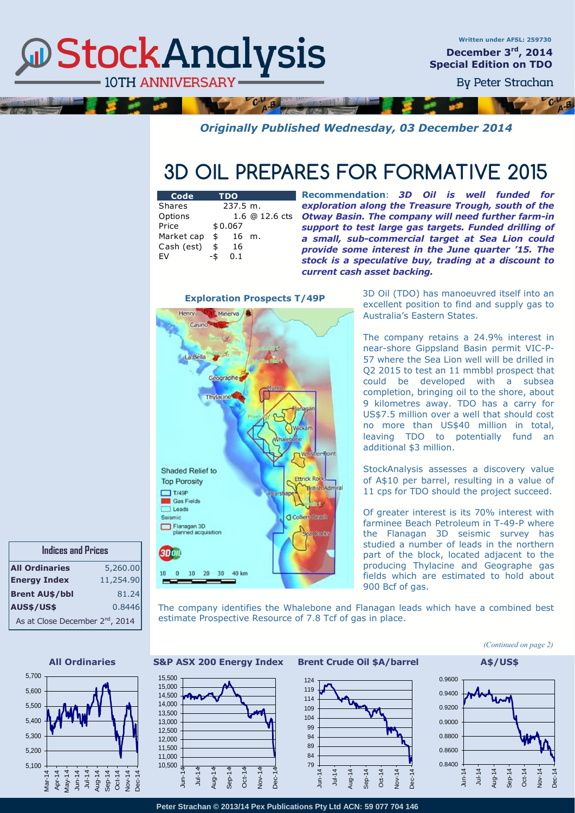## **@StockAnalysis 10TH ANNIVERSARY**

 $\overline{AB}$ 

*Originally Published Wednesday, 03 December 2014* 

## **3D OIL PREPARES FOR FORMATIVE 2015**

| Code       | <b>TDO</b>    |                |
|------------|---------------|----------------|
| Shares     | $237.5 \; m.$ |                |
| Options    |               | 1.6 @ 12.6 cts |
| Price      | \$0.067       |                |
| Market cap | \$<br>16      | m.             |
| Cash (est) | \$<br>16      |                |
| FV         | 0.1           |                |

**Recommendation**: *3D Oil is well funded for exploration along the Treasure Trough, south of the Otway Basin. The company will need further farm-in support to test large gas targets. Funded drilling of a small, sub-commercial target at Sea Lion could provide some interest in the June quarter '15. The stock is a speculative buy, trading at a discount to current cash asset backing.*

**Exploration Prospects T/49P**

 $C_{A-B}$ 



3D Oil (TDO) has manoeuvred itself into an excellent position to find and supply gas to Australia's Eastern States.

The company retains a 24.9% interest in near-shore Gippsland Basin permit VIC-P-57 where the Sea Lion well will be drilled in Q2 2015 to test an 11 mmbbl prospect that could be developed with a subsea completion, bringing oil to the shore, about 9 kilometres away. TDO has a carry for US\$7.5 million over a well that should cost no more than US\$40 million in total, leaving TDO to potentially fund an additional \$3 million.

StockAnalysis assesses a discovery value of A\$10 per barrel, resulting in a value of 11 cps for TDO should the project succeed.

Of greater interest is its 70% interest with farminee Beach Petroleum in T-49-P where the Flanagan 3D seismic survey has studied a number of leads in the northern part of the block, located adjacent to the producing Thylacine and Geographe gas fields which are estimated to hold about 900 Bcf of gas.

The company identifies the Whalebone and Flanagan leads which have a combined best estimate Prospective Resource of 7.8 Tcf of gas in place.







### **All Ordinaries S&P ASX 200 Energy Index Brent Crude Oil \$A/barrel A\$/US\$**

10,500 11,000 11,500 12,000 12,500 13,000 13,500 14,000 14,500 15,000 15,500

> Jun-14  $\frac{1}{2}$ Aug-Sep-14  $\ddot{\mathrm{g}}$ Nov-





**Peter Strachan © 2013/14 Pex Publications Pty Ltd ACN: 59 077 704 146**



**Indices and Prices**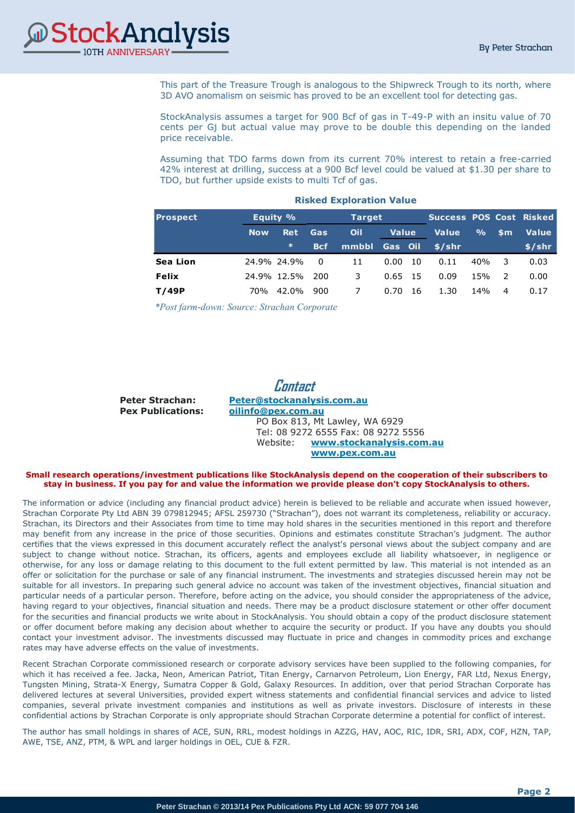

This part of the Treasure Trough is analogous to the Shipwreck Trough to its north, where 3D AVO anomalism on seismic has proved to be an excellent tool for detecting gas.

StockAnalysis assumes a target for 900 Bcf of gas in T-49-P with an insitu value of 70 cents per Gj but actual value may prove to be double this depending on the landed price receivable.

Assuming that TDO farms down from its current 70% interest to retain a free-carried 42% interest at drilling, success at a 900 Bcf level could be valued at \$1.30 per share to TDO, but further upside exists to multi Tcf of gas.

| <b>Prospect</b> |            | Equity %    | <b>Target</b> |       |              | Success POS Cost Risked |              |               |               |              |
|-----------------|------------|-------------|---------------|-------|--------------|-------------------------|--------------|---------------|---------------|--------------|
|                 | <b>Now</b> | <b>Ret</b>  | <b>Gas</b>    | Oil   | <b>Value</b> |                         | <b>Value</b> | $\frac{9}{6}$ | \$m           | <b>Value</b> |
|                 |            | $\ast$      | <b>Bcf</b>    | mmbbl | Gas Oil      |                         | \$/shr       |               |               | $$$ /shr     |
| <b>Sea Lion</b> |            | 24.9% 24.9% | 0             | 11    | 0.00         | 10                      | 0.11         | 40%           | 3             | 0.03         |
| <b>Felix</b>    |            | 24.9% 12.5% | 200           | 3     | 0.65         | - 15                    | 0.09         | 15%           | $\mathcal{L}$ | 0.00         |
| T/49P           | 70%        | 42.0%       | 900           |       | 0.70         | 16                      | 1.30         | 14%           | 4             | 0.17         |

#### **Risked Exploration Value**

*\* post farm-down: Source: Strachan Corporate \*Post farm-down: Source: Strachan Corporate*

**Contact Peter Strachan: [Peter@stockanalysis.com.au](mailto:pstrach@iinet.net.au) Pex Publications: [oilinfo@pex.com.au](mailto:oilinfo@pex.com.au)** PO Box 813, Mt Lawley, WA 6929 Tel: 08 9272 6555 Fax: 08 9272 5556 Website: **www.stockanalysis.com.au [www.pex.com.au](http://www.pex.com.au/)**

### **Small research operations/investment publications like StockAnalysis depend on the cooperation of their subscribers to stay in business. If you pay for and value the information we provide please don't copy StockAnalysis to others.**

The information or advice (including any financial product advice) herein is believed to be reliable and accurate when issued however, Strachan Corporate Pty Ltd ABN 39 079812945; AFSL 259730 ("Strachan"), does not warrant its completeness, reliability or accuracy. Strachan, its Directors and their Associates from time to time may hold shares in the securities mentioned in this report and therefore may benefit from any increase in the price of those securities. Opinions and estimates constitute Strachan's judgment. The author certifies that the views expressed in this document accurately reflect the analyst's personal views about the subject company and are subject to change without notice. Strachan, its officers, agents and employees exclude all liability whatsoever, in negligence or otherwise, for any loss or damage relating to this document to the full extent permitted by law. This material is not intended as an offer or solicitation for the purchase or sale of any financial instrument. The investments and strategies discussed herein may not be suitable for all investors. In preparing such general advice no account was taken of the investment objectives, financial situation and particular needs of a particular person. Therefore, before acting on the advice, you should consider the appropriateness of the advice, having regard to your objectives, financial situation and needs. There may be a product disclosure statement or other offer document for the securities and financial products we write about in StockAnalysis. You should obtain a copy of the product disclosure statement or offer document before making any decision about whether to acquire the security or product. If you have any doubts you should contact your investment advisor. The investments discussed may fluctuate in price and changes in commodity prices and exchange rates may have adverse effects on the value of investments.

Recent Strachan Corporate commissioned research or corporate advisory services have been supplied to the following companies, for which it has received a fee. Jacka, Neon, American Patriot, Titan Energy, Carnarvon Petroleum, Lion Energy, FAR Ltd, Nexus Energy, Tungsten Mining, Strata-X Energy, Sumatra Copper & Gold, Galaxy Resources. In addition, over that period Strachan Corporate has delivered lectures at several Universities, provided expert witness statements and confidential financial services and advice to listed companies, several private investment companies and institutions as well as private investors. Disclosure of interests in these confidential actions by Strachan Corporate is only appropriate should Strachan Corporate determine a potential for conflict of interest.

The author has small holdings in shares of ACE, SUN, RRL, modest holdings in AZZG, HAV, AOC, RIC, IDR, SRI, ADX, COF, HZN, TAP, AWE, TSE, ANZ, PTM, & WPL and larger holdings in OEL, CUE & FZR.